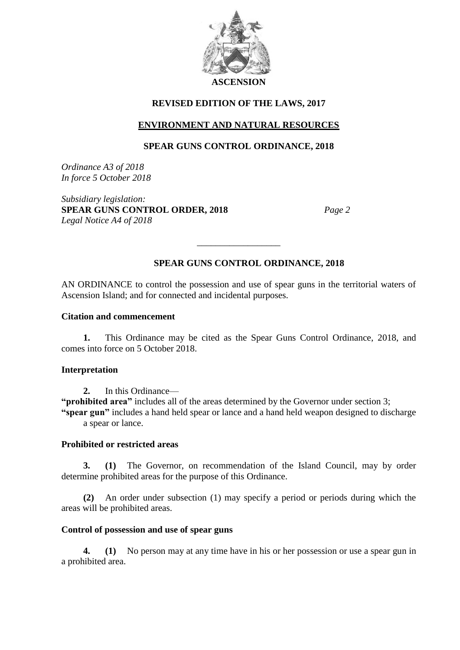

# **REVISED EDITION OF THE LAWS, 2017**

# **ENVIRONMENT AND NATURAL RESOURCES**

# **SPEAR GUNS CONTROL ORDINANCE, 2018**

*Ordinance A3 of 2018 In force 5 October 2018*

*Subsidiary legislation:* **SPEAR GUNS CONTROL ORDER, 2018** *Page 2 Legal Notice A4 of 2018*

# **SPEAR GUNS CONTROL ORDINANCE, 2018**

AN ORDINANCE to control the possession and use of spear guns in the territorial waters of Ascension Island; and for connected and incidental purposes.

\_\_\_\_\_\_\_\_\_\_\_\_\_\_\_\_\_\_

#### **Citation and commencement**

**1.** This Ordinance may be cited as the Spear Guns Control Ordinance, 2018, and comes into force on 5 October 2018.

# **Interpretation**

**2.** In this Ordinance— **"prohibited area"** includes all of the areas determined by the Governor under section 3; **"spear gun"** includes a hand held spear or lance and a hand held weapon designed to discharge a spear or lance.

# **Prohibited or restricted areas**

**3. (1)** The Governor, on recommendation of the Island Council, may by order determine prohibited areas for the purpose of this Ordinance.

**(2)** An order under subsection (1) may specify a period or periods during which the areas will be prohibited areas.

#### **Control of possession and use of spear guns**

**4. (1)** No person may at any time have in his or her possession or use a spear gun in a prohibited area.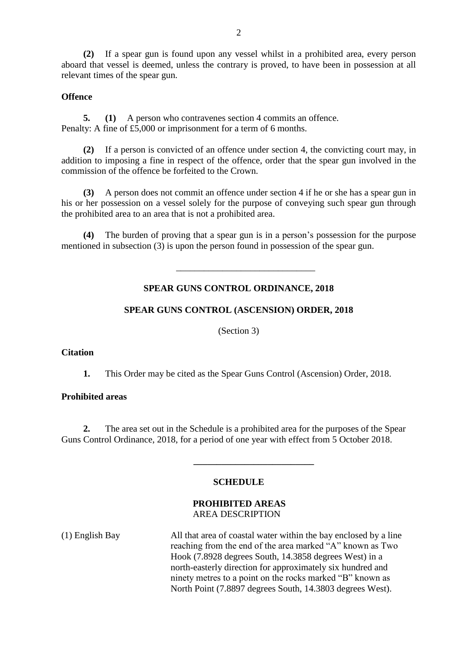**(2)** If a spear gun is found upon any vessel whilst in a prohibited area, every person aboard that vessel is deemed, unless the contrary is proved, to have been in possession at all relevant times of the spear gun.

# **Offence**

**5. (1)** A person who contravenes section 4 commits an offence. Penalty: A fine of £5,000 or imprisonment for a term of 6 months.

**(2)** If a person is convicted of an offence under section 4, the convicting court may, in addition to imposing a fine in respect of the offence, order that the spear gun involved in the commission of the offence be forfeited to the Crown.

**(3)** A person does not commit an offence under section 4 if he or she has a spear gun in his or her possession on a vessel solely for the purpose of conveying such spear gun through the prohibited area to an area that is not a prohibited area.

**(4)** The burden of proving that a spear gun is in a person's possession for the purpose mentioned in subsection (3) is upon the person found in possession of the spear gun.

# **SPEAR GUNS CONTROL ORDINANCE, 2018**

\_\_\_\_\_\_\_\_\_\_\_\_\_\_\_\_\_\_\_\_\_\_\_\_\_\_\_\_\_\_

# **SPEAR GUNS CONTROL (ASCENSION) ORDER, 2018**

(Section 3)

# **Citation**

**1.** This Order may be cited as the Spear Guns Control (Ascension) Order, 2018.

# **Prohibited areas**

**2.** The area set out in the Schedule is a prohibited area for the purposes of the Spear Guns Control Ordinance, 2018, for a period of one year with effect from 5 October 2018.

# **SCHEDULE**

 **\_\_\_\_\_\_\_\_\_\_\_\_\_\_\_\_\_\_\_\_\_\_\_\_\_\_**

# **PROHIBITED AREAS** AREA DESCRIPTION

(1) English Bay All that area of coastal water within the bay enclosed by a line reaching from the end of the area marked "A" known as Two Hook (7.8928 degrees South, 14.3858 degrees West) in a north-easterly direction for approximately six hundred and ninety metres to a point on the rocks marked "B" known as North Point (7.8897 degrees South, 14.3803 degrees West).